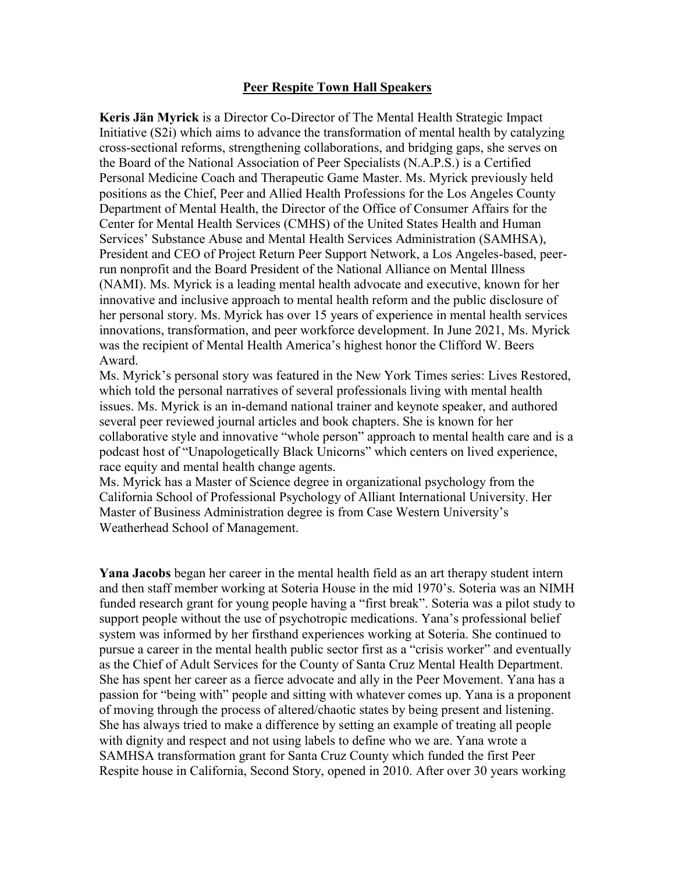## **Peer Respite Town Hall Speakers**

**Keris Jän Myrick** is a Director Co-Director of The Mental Health Strategic Impact Initiative (S2i) which aims to advance the transformation of mental health by catalyzing cross-sectional reforms, strengthening collaborations, and bridging gaps, she serves on the Board of the National Association of Peer Specialists (N.A.P.S.) is a Certified Personal Medicine Coach and Therapeutic Game Master. Ms. Myrick previously held positions as the Chief, Peer and Allied Health Professions for the Los Angeles County Department of Mental Health, the Director of the Office of Consumer Affairs for the Center for Mental Health Services (CMHS) of the United States Health and Human Services' Substance Abuse and Mental Health Services Administration (SAMHSA), President and CEO of Project Return Peer Support Network, a Los Angeles-based, peerrun nonprofit and the Board President of the National Alliance on Mental Illness (NAMI). Ms. Myrick is a leading mental health advocate and executive, known for her innovative and inclusive approach to mental health reform and the public disclosure of her personal story. Ms. Myrick has over 15 years of experience in mental health services innovations, transformation, and peer workforce development. In June 2021, Ms. Myrick was the recipient of Mental Health America's highest honor the Clifford W. Beers Award.

Ms. Myrick's personal story was featured in the New York Times series: Lives Restored, which told the personal narratives of several professionals living with mental health issues. Ms. Myrick is an in-demand national trainer and keynote speaker, and authored several peer reviewed journal articles and book chapters. She is known for her collaborative style and innovative "whole person" approach to mental health care and is a podcast host of "Unapologetically Black Unicorns" which centers on lived experience, race equity and mental health change agents.

Ms. Myrick has a Master of Science degree in organizational psychology from the California School of Professional Psychology of Alliant International University. Her Master of Business Administration degree is from Case Western University's Weatherhead School of Management.

**Yana Jacobs** began her career in the mental health field as an art therapy student intern and then staff member working at Soteria House in the mid 1970's. Soteria was an NIMH funded research grant for young people having a "first break". Soteria was a pilot study to support people without the use of psychotropic medications. Yana's professional belief system was informed by her firsthand experiences working at Soteria. She continued to pursue a career in the mental health public sector first as a "crisis worker" and eventually as the Chief of Adult Services for the County of Santa Cruz Mental Health Department. She has spent her career as a fierce advocate and ally in the Peer Movement. Yana has a passion for "being with" people and sitting with whatever comes up. Yana is a proponent of moving through the process of altered/chaotic states by being present and listening. She has always tried to make a difference by setting an example of treating all people with dignity and respect and not using labels to define who we are. Yana wrote a SAMHSA transformation grant for Santa Cruz County which funded the first Peer Respite house in California, Second Story, opened in 2010. After over 30 years working